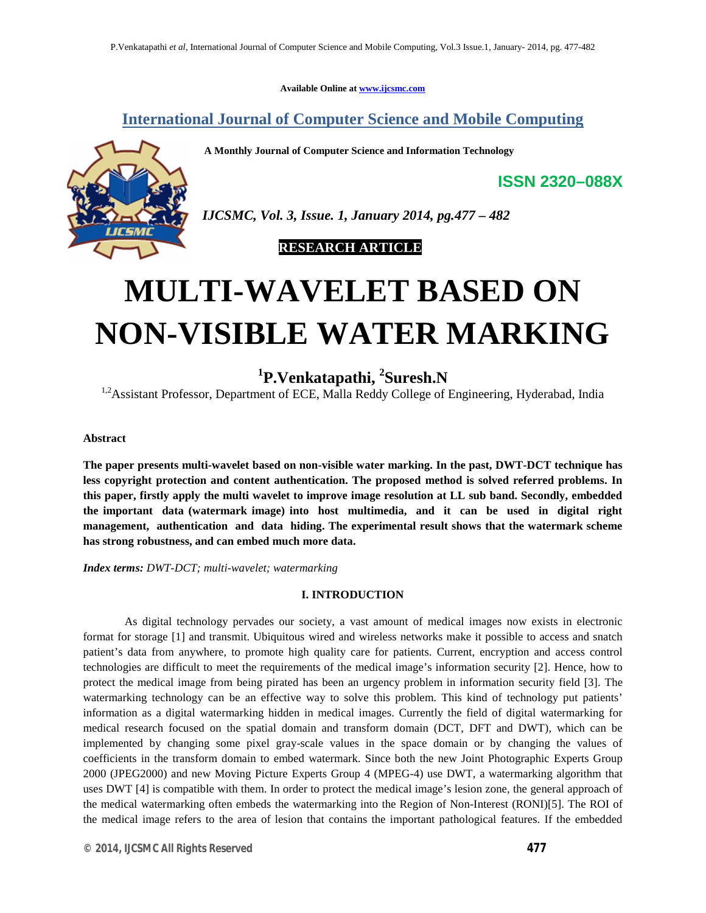**Available Online at www.ijcsmc.com**

## **International Journal of Computer Science and Mobile Computing**

 **A Monthly Journal of Computer Science and Information Technology**



*IJCSMC, Vol. 3, Issue. 1, January 2014, pg.477 – 482*

 **RESEARCH ARTICLE**

# **MULTI-WAVELET BASED ON NON-VISIBLE WATER MARKING**

# **1 P.Venkatapathi, 2 Suresh.N**

<sup>1,2</sup> Assistant Professor, Department of ECE, Malla Reddy College of Engineering, Hyderabad, India

#### **Abstract**

**The paper presents multi-wavelet based on non-visible water marking. In the past, DWT-DCT technique has less copyright protection and content authentication. The proposed method is solved referred problems. In this paper, firstly apply the multi wavelet to improve image resolution at LL sub band. Secondly, embedded the important data (watermark image) into host multimedia, and it can be used in digital right management, authentication and data hiding. The experimental result shows that the watermark scheme has strong robustness, and can embed much more data.**

*Index terms: DWT-DCT; multi-wavelet; watermarking*

#### **I. INTRODUCTION**

As digital technology pervades our society, a vast amount of medical images now exists in electronic format for storage [1] and transmit. Ubiquitous wired and wireless networks make it possible to access and snatch patient's data from anywhere, to promote high quality care for patients. Current, encryption and access control technologies are difficult to meet the requirements of the medical image's information security [2]. Hence, how to protect the medical image from being pirated has been an urgency problem in information security field [3]. The watermarking technology can be an effective way to solve this problem. This kind of technology put patients' information as a digital watermarking hidden in medical images. Currently the field of digital watermarking for medical research focused on the spatial domain and transform domain (DCT, DFT and DWT), which can be implemented by changing some pixel gray-scale values in the space domain or by changing the values of coefficients in the transform domain to embed watermark. Since both the new Joint Photographic Experts Group 2000 (JPEG2000) and new Moving Picture Experts Group 4 (MPEG-4) use DWT, a watermarking algorithm that uses DWT [4] is compatible with them. In order to protect the medical image's lesion zone, the general approach of the medical watermarking often embeds the watermarking into the Region of Non-Interest (RONI)[5]. The ROI of the medical image refers to the area of lesion that contains the important pathological features. If the embedded

**ISSN 2320–088X**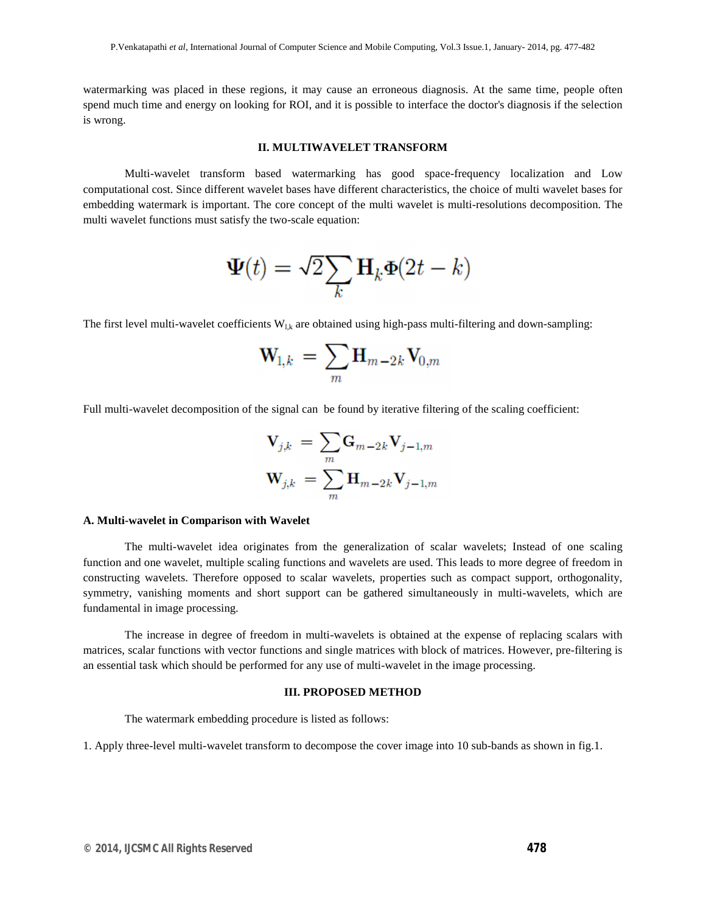watermarking was placed in these regions, it may cause an erroneous diagnosis. At the same time, people often spend much time and energy on looking for ROI, and it is possible to interface the doctor's diagnosis if the selection is wrong.

#### **II. MULTIWAVELET TRANSFORM**

Multi-wavelet transform based watermarking has good space-frequency localization and Low computational cost. Since different wavelet bases have different characteristics, the choice of multi wavelet bases for embedding watermark is important. The core concept of the multi wavelet is multi-resolutions decomposition. The multi wavelet functions must satisfy the two-scale equation:

$$
\mathbf{\Psi}(t) = \sqrt{2} \sum_{k} \mathbf{H}_{k} \mathbf{\Phi}(2t - k)
$$

The first level multi-wavelet coefficients  $W_{l,k}$  are obtained using high-pass multi-filtering and down-sampling:

$$
\mathbf{W}_{1,k} = \sum_m \mathbf{H}_{m-2k} \mathbf{V}_{0,m}
$$

Full multi-wavelet decomposition of the signal can be found by iterative filtering of the scaling coefficient:

$$
\mathbf{V}_{j,k} = \sum_{m} \mathbf{G}_{m-2k} \mathbf{V}_{j-1,m}
$$

$$
\mathbf{W}_{j,k} = \sum_{m} \mathbf{H}_{m-2k} \mathbf{V}_{j-1,m}
$$

#### **A. Multi-wavelet in Comparison with Wavelet**

The multi-wavelet idea originates from the generalization of scalar wavelets; Instead of one scaling function and one wavelet, multiple scaling functions and wavelets are used. This leads to more degree of freedom in constructing wavelets. Therefore opposed to scalar wavelets, properties such as compact support, orthogonality, symmetry, vanishing moments and short support can be gathered simultaneously in multi-wavelets, which are fundamental in image processing.

The increase in degree of freedom in multi-wavelets is obtained at the expense of replacing scalars with matrices, scalar functions with vector functions and single matrices with block of matrices. However, pre-filtering is an essential task which should be performed for any use of multi-wavelet in the image processing.

#### **III. PROPOSED METHOD**

The watermark embedding procedure is listed as follows:

1. Apply three-level multi-wavelet transform to decompose the cover image into 10 sub-bands as shown in fig.1.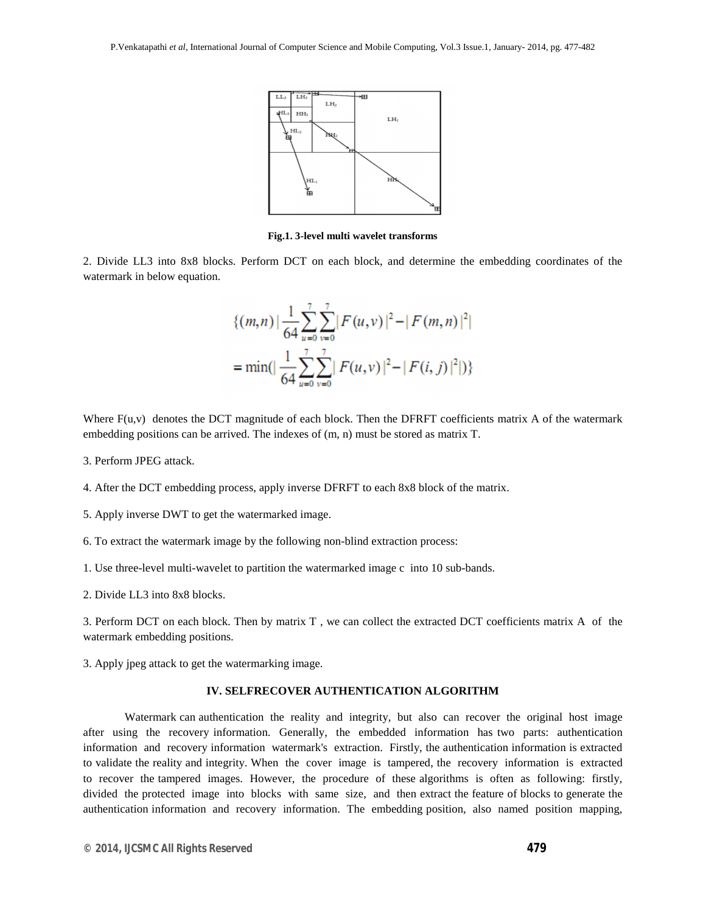

**Fig.1. 3-level multi wavelet transforms**

2. Divide LL3 into 8x8 blocks. Perform DCT on each block, and determine the embedding coordinates of the watermark in below equation.

$$
\{(m,n) \mid \frac{1}{64} \sum_{u=0}^{7} \sum_{v=0}^{7} |F(u,v)|^2 - |F(m,n)|^2|
$$
  
= min( $|\frac{1}{64} \sum_{u=0}^{7} \sum_{v=0}^{7} |F(u,v)|^2 - |F(i,j)|^2|$ )

Where  $F(u, v)$  denotes the DCT magnitude of each block. Then the DFRFT coefficients matrix A of the watermark embedding positions can be arrived. The indexes of (m, n) must be stored as matrix T.

- 3. Perform JPEG attack.
- 4. After the DCT embedding process, apply inverse DFRFT to each 8x8 block of the matrix.
- 5. Apply inverse DWT to get the watermarked image.
- 6. To extract the watermark image by the following non-blind extraction process:
- 1. Use three-level multi-wavelet to partition the watermarked image c into 10 sub-bands.
- 2. Divide LL3 into 8x8 blocks.

3. Perform DCT on each block. Then by matrix T , we can collect the extracted DCT coefficients matrix A of the watermark embedding positions.

3. Apply jpeg attack to get the watermarking image.

#### **IV. SELFRECOVER AUTHENTICATION ALGORITHM**

Watermark can authentication the reality and integrity, but also can recover the original host image after using the recovery information. Generally, the embedded information has two parts: authentication information and recovery information watermark's extraction. Firstly, the authentication information is extracted to validate the reality and integrity. When the cover image is tampered, the recovery information is extracted to recover the tampered images. However, the procedure of these algorithms is often as following: firstly, divided the protected image into blocks with same size, and then extract the feature of blocks to generate the authentication information and recovery information. The embedding position, also named position mapping,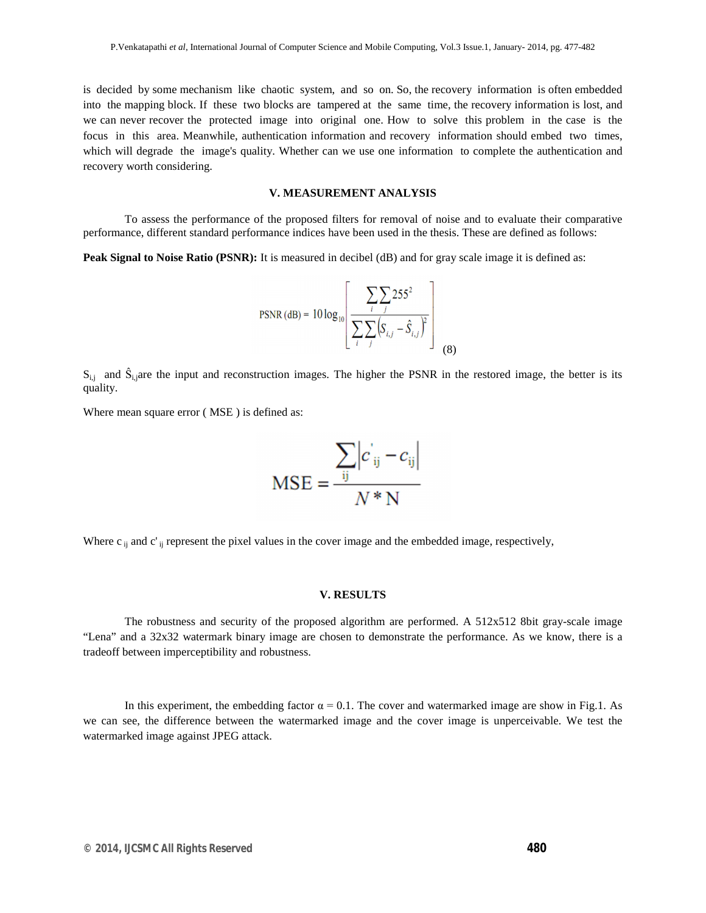is decided by some mechanism like chaotic system, and so on. So, the recovery information is often embedded into the mapping block. If these two blocks are tampered at the same time, the recovery information is lost, and we can never recover the protected image into original one. How to solve this problem in the case is the focus in this area. Meanwhile, authentication information and recovery information should embed two times, which will degrade the image's quality. Whether can we use one information to complete the authentication and recovery worth considering.

#### **V. MEASUREMENT ANALYSIS**

To assess the performance of the proposed filters for removal of noise and to evaluate their comparative performance, different standard performance indices have been used in the thesis. These are defined as follows:

**Peak Signal to Noise Ratio (PSNR):** It is measured in decibel (dB) and for gray scale image it is defined as:

PSNR (dB) = 
$$
10 \log_{10} \left[ \frac{\sum_{i} \sum_{j} 255^{2}}{\sum_{i} \sum_{j} (S_{i,j} - \hat{S}_{i,j})^{2}} \right]
$$
 (8)

 $S_{i,j}$  and  $\hat{S}_{i,j}$  are the input and reconstruction images. The higher the PSNR in the restored image, the better is its quality.

Where mean square error ( MSE ) is defined as:

$$
MSE = \frac{\sum_{ij} |c_{ij} - c_{ij}|}{N*N}
$$

Where  $c_{ij}$  and  $c'_{ij}$  represent the pixel values in the cover image and the embedded image, respectively,

#### **V. RESULTS**

The robustness and security of the proposed algorithm are performed. A 512x512 8bit gray-scale image "Lena" and a 32x32 watermark binary image are chosen to demonstrate the performance. As we know, there is a tradeoff between imperceptibility and robustness.

In this experiment, the embedding factor  $\alpha = 0.1$ . The cover and watermarked image are show in Fig.1. As we can see, the difference between the watermarked image and the cover image is unperceivable. We test the watermarked image against JPEG attack.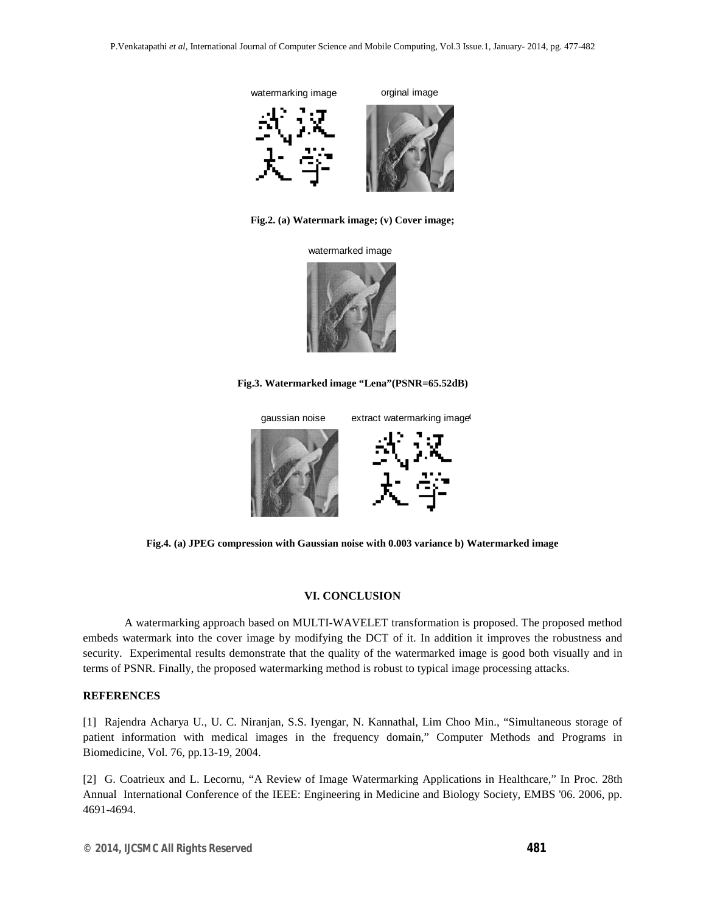

**Fig.2. (a) Watermark image; (v) Cover image;**

watermarked image



**Fig.3. Watermarked image "Lena"(PSNR=65.52dB)**



**Fig.4. (a) JPEG compression with Gaussian noise with 0.003 variance b) Watermarked image**

#### **VI. CONCLUSION**

A watermarking approach based on MULTI-WAVELET transformation is proposed. The proposed method embeds watermark into the cover image by modifying the DCT of it. In addition it improves the robustness and security. Experimental results demonstrate that the quality of the watermarked image is good both visually and in terms of PSNR. Finally, the proposed watermarking method is robust to typical image processing attacks.

#### **REFERENCES**

[1] Rajendra Acharya U., U. C. Niranjan, S.S. Iyengar, N. Kannathal, Lim Choo Min., "Simultaneous storage of patient information with medical images in the frequency domain," Computer Methods and Programs in Biomedicine, Vol. 76, pp.13-19, 2004.

[2] G. Coatrieux and L. Lecornu, "A Review of Image Watermarking Applications in Healthcare," In Proc. 28th Annual International Conference of the IEEE: Engineering in Medicine and Biology Society, EMBS '06. 2006, pp. 4691-4694.